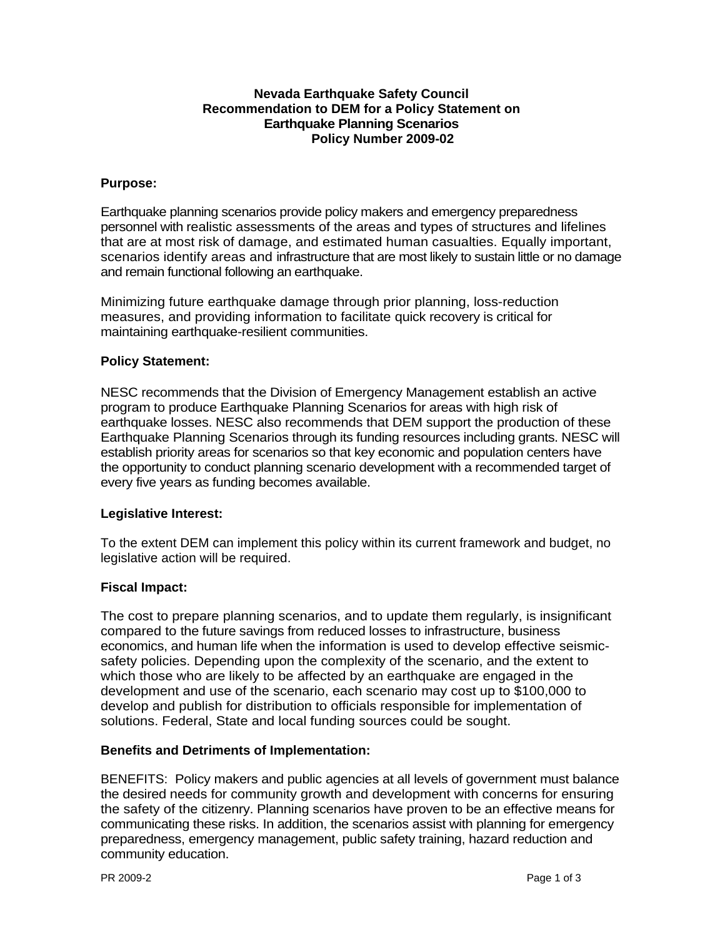# **Nevada Earthquake Safety Council Recommendation to DEM for a Policy Statement on Earthquake Planning Scenarios Policy Number 2009-02**

# **Purpose:**

Earthquake planning scenarios provide policy makers and emergency preparedness personnel with realistic assessments of the areas and types of structures and lifelines that are at most risk of damage, and estimated human casualties. Equally important, scenarios identify areas and infrastructure that are most likely to sustain little or no damage and remain functional following an earthquake.

Minimizing future earthquake damage through prior planning, loss-reduction measures, and providing information to facilitate quick recovery is critical for maintaining earthquake-resilient communities.

## **Policy Statement:**

NESC recommends that the Division of Emergency Management establish an active program to produce Earthquake Planning Scenarios for areas with high risk of earthquake losses. NESC also recommends that DEM support the production of these Earthquake Planning Scenarios through its funding resources including grants. NESC will establish priority areas for scenarios so that key economic and population centers have the opportunity to conduct planning scenario development with a recommended target of every five years as funding becomes available.

#### **Legislative Interest:**

To the extent DEM can implement this policy within its current framework and budget, no legislative action will be required.

# **Fiscal Impact:**

The cost to prepare planning scenarios, and to update them regularly, is insignificant compared to the future savings from reduced losses to infrastructure, business economics, and human life when the information is used to develop effective seismicsafety policies. Depending upon the complexity of the scenario, and the extent to which those who are likely to be affected by an earthquake are engaged in the development and use of the scenario, each scenario may cost up to \$100,000 to develop and publish for distribution to officials responsible for implementation of solutions. Federal, State and local funding sources could be sought.

#### **Benefits and Detriments of Implementation:**

BENEFITS: Policy makers and public agencies at all levels of government must balance the desired needs for community growth and development with concerns for ensuring the safety of the citizenry. Planning scenarios have proven to be an effective means for communicating these risks. In addition, the scenarios assist with planning for emergency preparedness, emergency management, public safety training, hazard reduction and community education.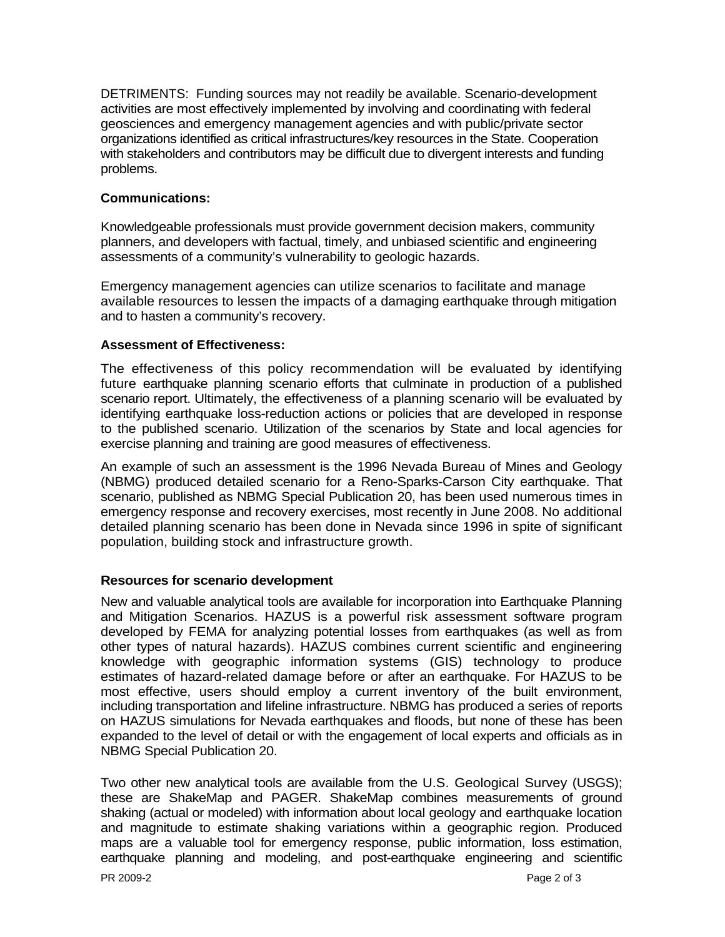DETRIMENTS: Funding sources may not readily be available. Scenario-development activities are most effectively implemented by involving and coordinating with federal geosciences and emergency management agencies and with public/private sector organizations identified as critical infrastructures/key resources in the State. Cooperation with stakeholders and contributors may be difficult due to divergent interests and funding problems.

### **Communications:**

Knowledgeable professionals must provide government decision makers, community planners, and developers with factual, timely, and unbiased scientific and engineering assessments of a community's vulnerability to geologic hazards.

Emergency management agencies can utilize scenarios to facilitate and manage available resources to lessen the impacts of a damaging earthquake through mitigation and to hasten a community's recovery.

# **Assessment of Effectiveness:**

The effectiveness of this policy recommendation will be evaluated by identifying future earthquake planning scenario efforts that culminate in production of a published scenario report. Ultimately, the effectiveness of a planning scenario will be evaluated by identifying earthquake loss-reduction actions or policies that are developed in response to the published scenario. Utilization of the scenarios by State and local agencies for exercise planning and training are good measures of effectiveness.

An example of such an assessment is the 1996 Nevada Bureau of Mines and Geology (NBMG) produced detailed scenario for a Reno-Sparks-Carson City earthquake. That scenario, published as NBMG Special Publication 20, has been used numerous times in emergency response and recovery exercises, most recently in June 2008. No additional detailed planning scenario has been done in Nevada since 1996 in spite of significant population, building stock and infrastructure growth.

#### **Resources for scenario development**

New and valuable analytical tools are available for incorporation into Earthquake Planning and Mitigation Scenarios. HAZUS is a powerful risk assessment software program developed by FEMA for analyzing potential losses from earthquakes (as well as from other types of natural hazards). HAZUS combines current scientific and engineering knowledge with geographic information systems (GIS) technology to produce estimates of hazard-related damage before or after an earthquake. For HAZUS to be most effective, users should employ a current inventory of the built environment, including transportation and lifeline infrastructure. NBMG has produced a series of reports on HAZUS simulations for Nevada earthquakes and floods, but none of these has been expanded to the level of detail or with the engagement of local experts and officials as in NBMG Special Publication 20.

Two other new analytical tools are available from the U.S. Geological Survey (USGS); these are ShakeMap and PAGER. ShakeMap combines measurements of ground shaking (actual or modeled) with information about local geology and earthquake location and magnitude to estimate shaking variations within a geographic region. Produced maps are a valuable tool for emergency response, public information, loss estimation, earthquake planning and modeling, and post-earthquake engineering and scientific